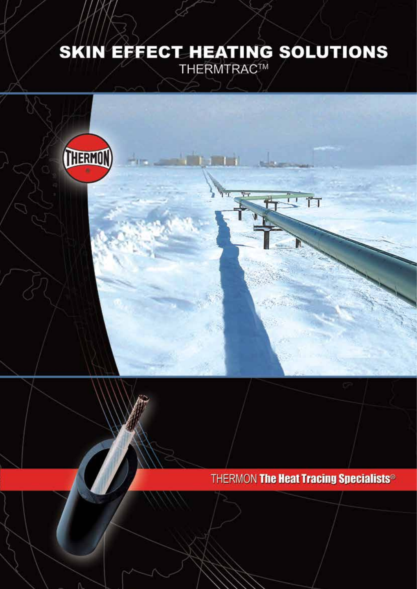# SKIN EFFECT HEATING SOLUTIONS

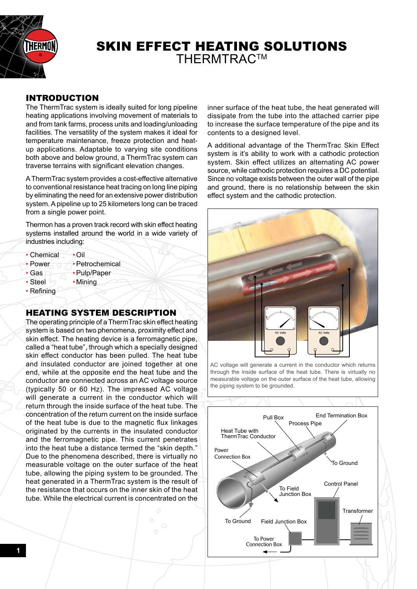

# SKIN EFFECT HEATING SOLUTIONS **THERMTRAC™**

## INTRODUCTION

The ThermTrac system is ideally suited for long pipeline heating applications involving movement of materials to and from tank farms, process units and loading/unloading facilities. The versatility of the system makes it ideal for temperature maintenance, freeze protection and heatup applications. Adaptable to varying site conditions both above and below ground, a ThermTrac system can traverse terrains with significant elevation changes.

A ThermTrac system provides a cost-effective alternative to conventional resistance heat tracing on long line piping by eliminating the need for an extensive power distribution system. A pipeline up to 25 kilometers long can be traced from a single power point.

Thermon has a proven track record with skin effect heating systems installed around the world in a wide variety of industries including:

- Chemical Oil
- Power  $\rightarrow$  Petrochemical
- Gas  **Pulp/Paper**
- Steel  $\omega$  Mining
- Refining

# HEATING SYSTEM DESCRIPTION

The operating principle of a ThermTrac skin effect heating system is based on two phenomena, proximity effect and skin effect. The heating device is a ferromagnetic pipe, called a "heat tube", through which a specially designed skin effect conductor has been pulled. The heat tube and insulated conductor are joined together at one end, while at the opposite end the heat tube and the conductor are connected across an AC voltage source (typically 50 or 60 Hz). The impressed AC voltage will generate a current in the conductor which will return through the inside surface of the heat tube. The concentration of the return current on the inside surface of the heat tube is due to the magnetic flux linkages originated by the currents in the insulated conductor and the ferromagnetic pipe. This current penetrates into the heat tube a distance termed the "skin depth." Due to the phenomena described, there is virtually no measurable voltage on the outer surface of the heat tube, allowing the piping system to be grounded. The heat generated in a ThermTrac system is the result of the resistance that occurs on the inner skin of the heat tube. While the electrical current is concentrated on the inner surface of the heat tube, the heat generated will dissipate from the tube into the attached carrier pipe to increase the surface temperature of the pipe and its contents to a designed level.

A additional advantage of the ThermTrac Skin Effect system is it's ability to work with a cathodic protection system. Skin effect utilizes an alternating AC power source, while cathodic protection requires a DC potential. Since no voltage exists between the outer wall of the pipe and ground, there is no relationship between the skin effect system and the cathodic protection.



AC voltage will generate a current in the conductor which returns through the inside surface of the heat tube. There is virtually no measurable voltage on the outer surface of the heat tube, allowing the piping system to be grounded.

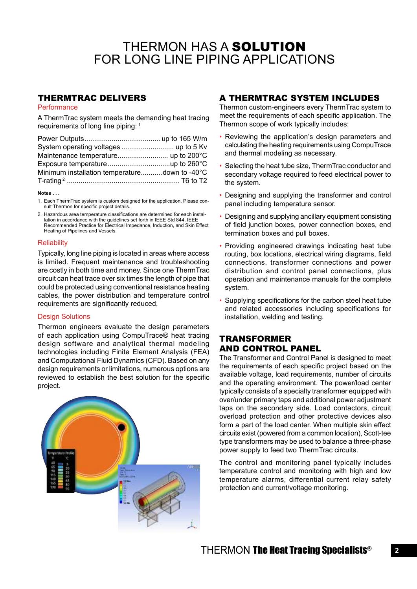# THERMON HAS A SOLUTION FOR LONG LINE PIPING APPLICATIONS

### THERMTRAC DELIVERS

#### **Performance**

A ThermTrac system meets the demanding heat tracing requirements of long line piping: 1

| Minimum installation temperaturedown to -40°C |  |
|-----------------------------------------------|--|
|                                               |  |
|                                               |  |

#### **Notes . . .**

1. Each ThermTrac system is custom designed for the application. Please consult Thermon for specific project details.

2. Hazardous area temperature classifications are determined for each installation in accordance with the guidelines set forth in IEEE Std 844, IEEE Recommended Practice for Electrical Impedance, Induction, and Skin Effect Heating of Pipelines and Vessels.

#### **Reliability**

Typically, long line piping is located in areas where access is limited. Frequent maintenance and troubleshooting are costly in both time and money. Since one ThermTrac circuit can heat trace over six times the length of pipe that could be protected using conventional resistance heating cables, the power distribution and temperature control requirements are significantly reduced.

#### Design Solutions

Thermon engineers evaluate the design parameters of each application using CompuTrace® heat tracing design software and analytical thermal modeling technologies including Finite Element Analysis (FEA) and Computational Fluid Dynamics (CFD). Based on any design requirements or limitations, numerous options are reviewed to establish the best solution for the specific project.



## A THERMTRAC SYSTEM INCLUDES

Thermon custom-engineers every ThermTrac system to meet the requirements of each specific application. The Thermon scope of work typically includes:

- Reviewing the application's design parameters and calculating the heating requirements using CompuTrace and thermal modeling as necessary.
- Selecting the heat tube size, ThermTrac conductor and secondary voltage required to feed electrical power to the system.
- Designing and supplying the transformer and control panel including temperature sensor.
- Designing and supplying ancillary equipment consisting of field junction boxes, power connection boxes, end termination boxes and pull boxes.
- Providing engineered drawings indicating heat tube routing, box locations, electrical wiring diagrams, field connections, transformer connections and power distribution and control panel connections, plus operation and maintenance manuals for the complete system.
- Supplying specifications for the carbon steel heat tube and related accessories including specifications for installation, welding and testing.

# TRANSFORMER AND CONTROL PANEL

The Transformer and Control Panel is designed to meet the requirements of each specific project based on the available voltage, load requirements, number of circuits and the operating environment. The power/load center typically consists of a specialty transformer equipped with over/under primary taps and additional power adjustment taps on the secondary side. Load contactors, circuit overload protection and other protective devices also form a part of the load center. When multiple skin effect circuits exist (powered from a common location), Scott-tee type transformers may be used to balance a three-phase power supply to feed two ThermTrac circuits.

The control and monitoring panel typically includes temperature control and monitoring with high and low temperature alarms, differential current relay safety protection and current/voltage monitoring.